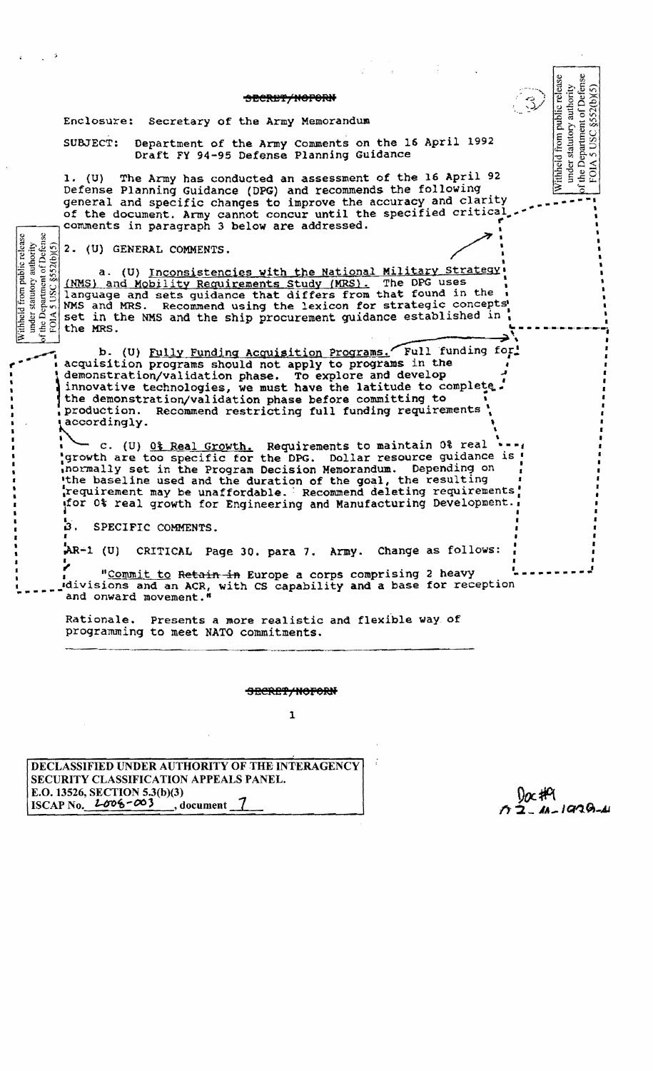#### SECRET/HOPORN

Enclosure: secretary of the Army Memorandum

SUBJECT: Department of the Army Comments on the 16 April 1992 Draft FY 94-95 Defense Planning Guidance

*1. (U)* The Army has conducted an assessment of the 16 April 92 Defense Planning Guidance (DPG) and recommends the following general and specific changes to improve the accuracy and clarity of the document. Army cannot concur until the specified critical comments in paragraph 3 below are addressed.

2. (U) GENERAL COMMENTS.

—≚ ∹

 $\frac{1}{2}$   $\frac{1}{2}$ 

 $\mathbf{y}$  is a set of  $\mathbf{y}$ ~ • •  $\frac{1}{2}$   $\frac{1}{2}$   $\frac{1}{2}$   $\frac{1}{2}$   $\frac{1}{2}$   $\frac{1}{2}$   $\frac{1}{2}$   $\frac{1}{2}$   $\frac{1}{2}$   $\frac{1}{2}$   $\frac{1}{2}$   $\frac{1}{2}$   $\frac{1}{2}$   $\frac{1}{2}$   $\frac{1}{2}$   $\frac{1}{2}$   $\frac{1}{2}$   $\frac{1}{2}$   $\frac{1}{2}$   $\frac{1}{2}$   $\frac{1}{2}$   $\frac{1}{2}$  set in the NMS and the ship procurement guidance established in **" - - - - ---- ---------;** a. (U) Inconsistencies with the National Military Strategy (NMS) and Mobility Requirements Study (MRS). The DPG uses language and sets guidance that differs from that found in the  $\mathbf{E}$   $\mathbf{E}$   $\mathbf{E}$   $\mathbf{E}$   $\mathbf{E}$   $\mathbf{E}$  **the MRS.** 

b. (0) <u>Fully Funding Acquisition Programs.</u> Full funding for<br>acquisition programs should not apply to programs in the  $\frac{1}{2}$  d in the demonstration/validation phase before committing to , production. Recommend restricting full funding requirements '  $\frac{1}{2}$  accordingly. cquisition programs should not apply to programs in the equisition programs should not apply to programs in the  $\frac{1}{2}$ monstration/validation phase. To explore and develop<br>novative technologies, we must have the latitude to complete.<br>e demonstration/unlidation phase before committing to

! I prowth are too specific for the DPG. Dollar resource guidance is ! ,n ormally set in the Program Decision Memorandum. Depending on : the baseline used and the duration of the goal, the resulting requirement may be unaffordable. Recommend deleting requirements! for 0% real growth for Engineering and Manufacturing Development. accordingly.<br>
c. (U) <u>0% Real Growth.</u> Requirements to maintain 0% real **.\_-,** 

 $\blacksquare$ ~. SPECIFIC COMMENTS.

 $AR-1$  (U) CRITICAL Page 30. para 7. Army. Change as follows:

"Commit to Retain in Europe a corps comprising 2 heavy *rdivisions and an ACR, with CS capability and a base for reception* and onward movement."

Rationale. Presents a more realistic and flexible way of programming to meet NATO commitments.

SECRET/NOFORN

1

DECLASSIFIED UNDER AUTHORITY OF THE INTERAGENCY SECURITY CLASSIFICATION APPEALS PANEL. E.O. 13526, SECTION 5.3(b)(3) ISCAP No.  $2\sigma\sigma^2\sim 3$ , document

 $2.41-1939-11$ 

I

under statutory authority<br>the Department of Defense<br>FOIA 5 USC §552(b)(5)

Withheld from public release

I

 $\hat{\imath}$  and  $\imath$  is a set of  $\hat{\imath}$ 

I

I :<br>'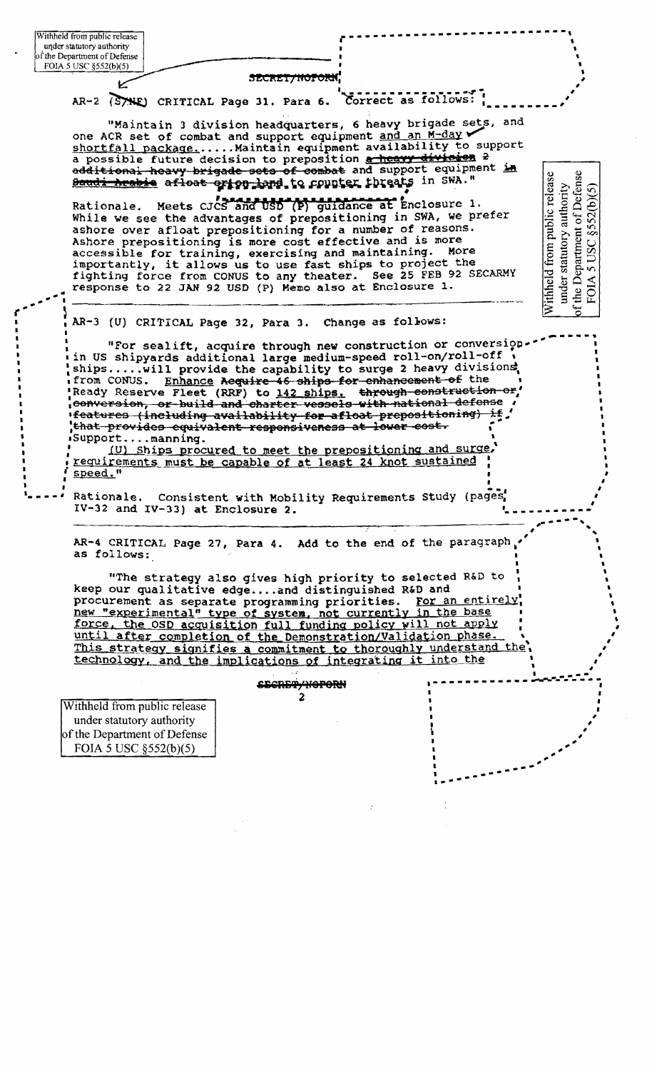SECREI/NOFORN,

AR-2 (STHE) CRITICAL Page 31. Para 6.

Correct as follows:

under statutory authority<br>the Department of Defense<br>FOIA 5 USC §52(b)(5)

Withheld from public release

"Maintain 3 division headquarters, 6 heavy brigade sets, and one ACR set of combat and support equipment and an M-day shortfall package...... Maintain equipment availability to support a possible future decision to preposition a heavy division 2 additional heavy brigade sets of combat and support equipment in Boudi heabie afloat orign land to counter threats in SWA."

Meets cucs and USD (P) guidance at Enclosure 1. Rationale. While we see the advantages of prepositioning in SWA, we prefer ashore over afloat prepositioning for a number of reasons. Ashore prepositioning is more cost effective and is more accessible for training, exercising and maintaining. More importantly, it allows us to use fast ships to project the fighting force from CONUS to any theater. See 25 FEB 92 SECARMY response to 22 JAN 92 USD (P) Memo also at Enclosure 1.

AR-3 (U) CRITICAL Page 32, Para 3. Change as follows:

"For sealift, acquire through new construction or conversion in US shipyards additional large medium-speed roll-on/roll-off ships.....will provide the capability to surge 2 heavy divisions, from CONUS. Enhance Aequire 46 ships for enhancement of the Ready Reserve Fleet (RRF) to 142 ships. through construction or, eonversion, or build and charter vessels with national defense ifeatures (including availability for afloat prepositioning) if, that provides equivalent responsiveness at lower cost. Support....manning.

(U) Ships procured to meet the prepositioning and surge, requirements must be capable of at least 24 knot sustained speed."

Consistent with Mobility Requirements Study (pages, Rationale. IV-32 and IV-33) at Enclosure 2.

AR-4 CRITICAL Page 27, Para 4. Add to the end of the paragraph as follows:

"The strategy also gives high priority to selected R&D to keep our qualitative edge....and distinguished R&D and procurement as separate programming priorities. For an entirely new "experimental" type of system, not currently in the base force, the OSD acquisition full funding policy will not apply until after completion of the Demonstration/Validation phase. This strategy signifies a commitment to thoroughly understand the technology, and the implications of integrating it into the

### <del>cecrer/noporn</del>  $\mathbf{c}$

Withheld from public release under statutory authority of the Department of Defense FOIA 5 USC §552(b)(5)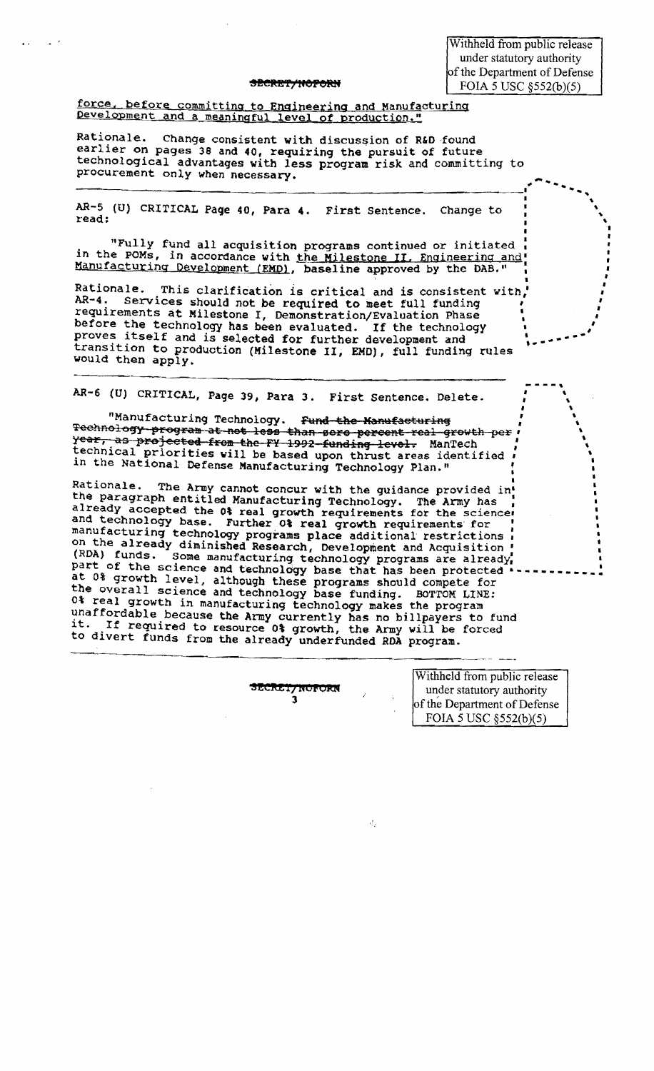Withheld from public release under statutory authority of the Department of Defense FOIA 5 USC 8552(b)(5)

#### <del>secret/hoforn</del>

force, before committing to Engineering and Manufacturing Development and a meaningful level of production."

Rationale. Change consistent with discussion of R&D found earlier on pages 38 and 40, requiring the pursuit of future technological advantages with less program risk and committing to procurement only when necessary.

AR-5 (U) CRITICAL Page 40, Para 4. First Sentence. Change to read:

"Fully fund all acquisition programs continued or initiated in the POMs, in accordance with the Milestone II. Engineering and Manufacturing Development (EMD), baseline approved by the DAB."

Rationale. This clarification is critical and is consistent with, AR-4. Services should not be required to meet full funding requirements at Milestone I, Demonstration/Evaluation Phase before the technology has been evaluated. If the technology proves itself and is selected for further development and transition to production (Milestone II, EMD), full funding rules would then apply.

AR-6 (U) CRITICAL, Page 39, Para 3. First Sentence. Delete.

"Manufacturing Technology. Fund the Manufacturing Technology program at not less than sero percent real growth per year, as projected from the FY 1992 funding level. ManTech technical priorities will be based upon thrust areas identified in the National Defense Manufacturing Technology Plan."

Rationale. The Army cannot concur with the guidance provided in! the paragraph entitled Manufacturing Technology. The Army has already accepted the 0% real growth requirements for the science and technology base. Further 0% real growth requirements for manufacturing technology programs place additional restrictions on the already diminished Research, Development and Acquisition (RDA) funds. Some manufacturing technology programs are already, part of the science and technology base that has been protected at 0% growth level, although these programs should compete for the overall science and technology base funding. BOTTOM LINE: 0% real growth in manufacturing technology makes the program unaffordable because the Army currently has no billpayers to fund If required to resource 0% growth, the Army will be forced it. to divert funds from the already underfunded RDA program.

ECRET/NOFORN  $\overline{\mathbf{3}}$ 

đ,

Withheld from public release under statutory authority of the Department of Defense FOIA 5 USC §552(b)(5)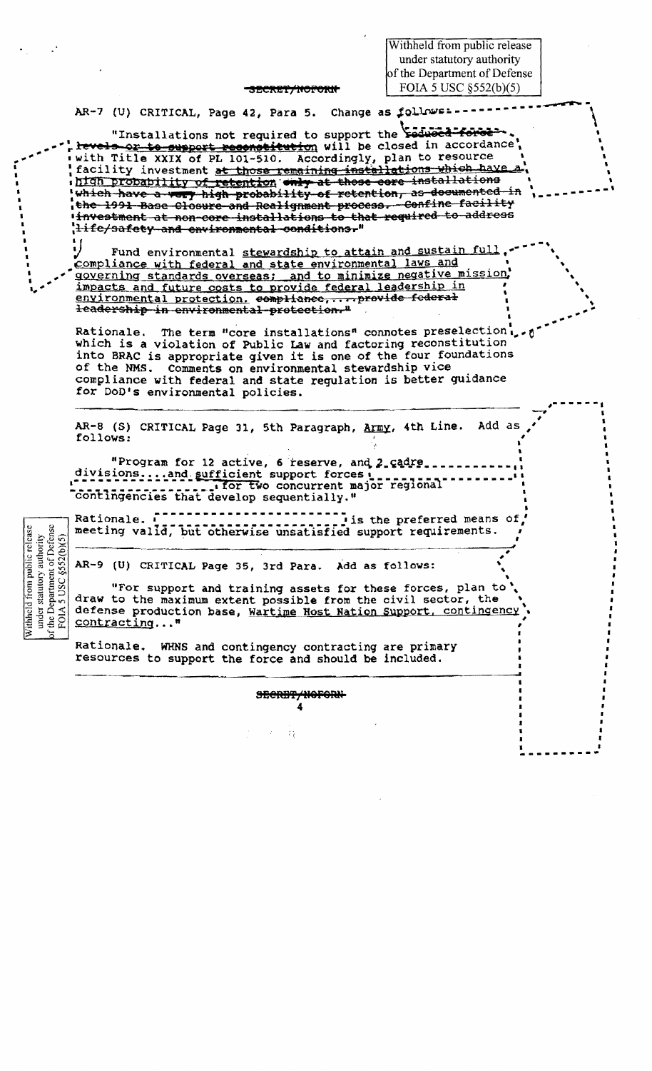Withheld from public release under statutory authority of the Department of Defense FOIA 5 USC §552(b)(5)

#### <del>secret/noforn</del>

AR-7 (U) CRITICAL, Page 42, Para 5. Change as follows:

"Installations not required to support the educed force levels or to support resenstitution will be closed in accordance with Title XXIX of PL 101-510. Accordingly, plan to resource facility investment at those remaining installations which have high probability of retention only at these core installations which have a very high probability of retention, as documented in the 1991 Base Closure and Realignment process. Confine facility investment at non-core installations to that required to address Hife/safety and environmental conditions."

Fund environmental stewardship to attain and sustain full compliance with federal and state environmental laws and governing standards overseas; and to minimize negative mission, impacts and future costs to provide federal leadership in environmental protection. compliance, ... provide federal leadership in environmental protection."

Rationale. The term "core installations" connotes preselection... which is a violation of Public Law and factoring reconstitution into BRAC is appropriate given it is one of the four foundations of the NMS. Comments on environmental stewardship vice compliance with federal and state requlation is better guidance for DoD's environmental policies.

AR-8 (S) CRITICAL Page 31, 5th Paragraph, Army, 4th Line. Add as follows:

"Program for 12 active, 6 reserve, and 2 cadre. divisions....and sufficient support forces : .... for two concurrent major regional contingencies that develop sequentially."

under statutory authority<br>
f the Department of Defense<br>
FOIA 5 USC §552(b)(5) Withheld from public release

I is the preferred means of Rationale. I meeting valid, but otherwise unsatisfied support requirements.

AR-9 (U) CRITICAL Page 35, 3rd Para. Add as follows:

"For support and training assets for these forces, plan to draw to the maximum extent possible from the civil sector, the defense production base, Wartime Host Nation Support, contingency contracting..."

> SECRET/NOFORN-4

> > $\mathcal{L}_4^*$

Rationale. WHNS and contingency contracting are primary resources to support the force and should be included.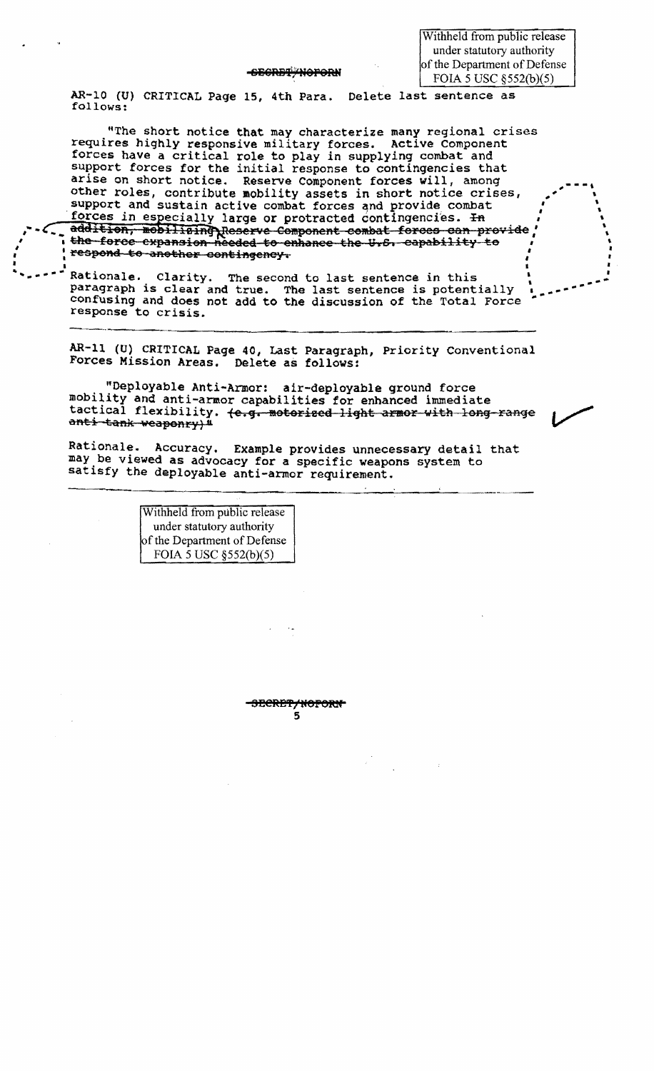<del>-secret \*Noforn</del>

Withheld from public release under statutory authority of the Department of Defense FOIA 5 USC §552(b)(5)

AR-10 (U) CRITICAL Page 15, 4th Para. Delete last sentence as follows:

"The short notice that may characterize many regional crises requires highly responsive military forces. Active Component forces have a critical role to play in supplying combat and support forces for the initial response to contingencies that arise on short notice. Reserve Component forces will, among other roles, contribute mobility assets in short notice crises, support and sustain active combat forces and provide combat forces in especially large or protracted contingencies. In addition, mobilising Reserve Component combat forces can provide the force expansion needed to enhance the U.S. capability to respond to another contingency.

Rationale. Clarity. The second to last sentence in this paragraph is clear and true. The last sentence is potentially confusing and does not add to the discussion of the Total Force response to crisis.

AR-11 (U) CRITICAL Page 40, Last Paragraph, Priority Conventional Forces Mission Areas. Delete as follows:

"Deployable Anti-Armor: air-deployable ground force mobility and anti-armor capabilities for enhanced immediate tactical flexibility. (e.g. motorized light armor with long-range anti-tank weaponry)"

Rationale. Accuracy. Example provides unnecessary detail that may be viewed as advocacy for a specific weapons system to satisfy the deployable anti-armor requirement.

> Withheld from public release under statutory authority of the Department of Defense FOIA 5 USC §552(b)(5)

> > 5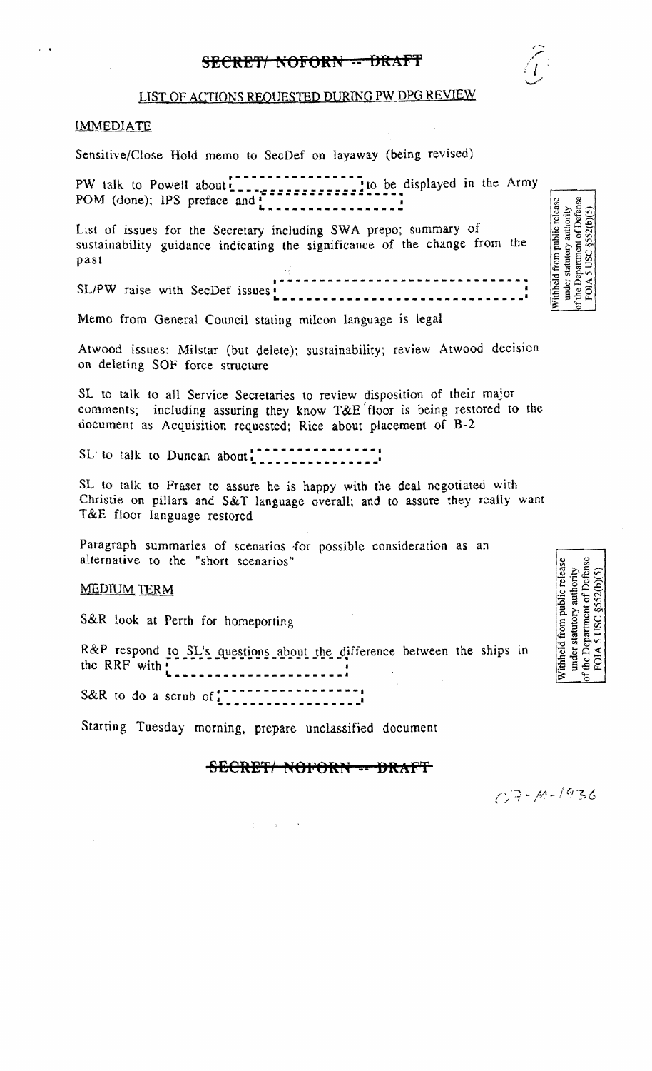# SECRET/ NOFORN -- DRAFT



## **IMMEDIATE**

Sensitive/Close Hold memo to SecDef on layaway (being revised)

List of issues for the Secretary including SWA prepo; summary of sustainability guidance indicating the significance of the change from the past

SL/PW raise with SecDef issues **Environmental COVID-1000** 

Memo from General Council stating milcon language is legal

Atwood issues: Milstar (but delete); sustainability; review Atwood decision on deleting SOF force structure

SL to talk to all Service Secretaries to review disposition of their major comments; including assuring they know T&E floor is being restored to the document as Acquisition requested; Rice about placement of  $B-2$ 

SL to talk to Duncan about the contract of the state of the state of the state of the state of the state of the state of the state of the state of the state of the state of the state of the state of the state of the state

SL to talk to Fraser to assure he is happy with the deal negotiated with Christie on pillars and S&T language overall; and to assure they really want T&E floor language restored

Paragraph summaries of scenarios for possible consideration as an alternative to the "short scenarios"

## **MEDIUM TERM**

S&R look at Perth for homeporting

R&P respond to SL's questions about the difference between the ships in 

S&R to do a scrub of  $\frac{1}{2}$ ,  $\frac{1}{2}$ ,  $\frac{1}{2}$ ,  $\frac{1}{2}$ ,  $\frac{1}{2}$ ,  $\frac{1}{2}$ ,  $\frac{1}{2}$ ,  $\frac{1}{2}$ ,  $\frac{1}{2}$ ,  $\frac{1}{2}$ ,  $\frac{1}{2}$ ,  $\frac{1}{2}$ ,  $\frac{1}{2}$ ,  $\frac{1}{2}$ ,  $\frac{1}{2}$ ,  $\frac{1}{2}$ ,  $\frac{1}{2}$ ,  $\frac{1}{2}$ ,  $\$ 

Starting Tuesday morning, prepare unclassified document

# SECRET/ NOFORN -- DRAFT

Withheld from public release<br>under statutory authority<br>of the Department of Defense<br>FOIA 5 USC §552(b)(5)

under statutory authority<br>of the Department of Defense<br>FOIA 5 USC  $\S$ 552(b)(5)

Withheld from public release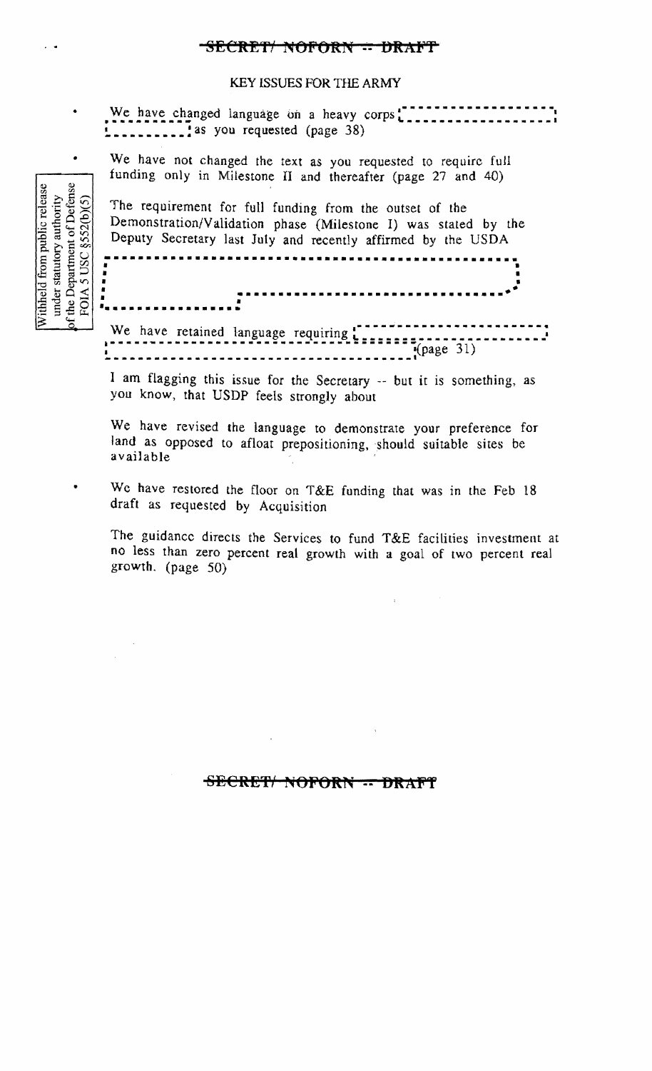# SECRET NOFORN - DRAFT

## KEY ISSUES FOR THE ARMY

We have changed language on a heavy corps!  $\frac{1}{2}$  as you requested (page 38)

We have not changed the text as you requested to require full funding only in Milestone II and thereafter (page 27 and 40)

The requirement for full funding from the outset of the Demonstration/Validation phase (Milestone I) was stated by the Deputy Secretary last July and recently affirmed by the USDA

--------------------------------

 $\frac{1}{2}$  (page 31)

I am flagging this issue for the Secretary -- but it is something, as you know, that USDP feels strongly about

We have revised the language to demonstrate your preference for land as opposed to afloat prepositioning, should suitable sites be available

We have restored the floor on T&E funding that was in the Feb 18 draft as requested by Acquisition

The guidance directs the Services to fund T&E facilities investment at no less than zero percent real growth with a goal of two percent real growth.  $(page 50)$